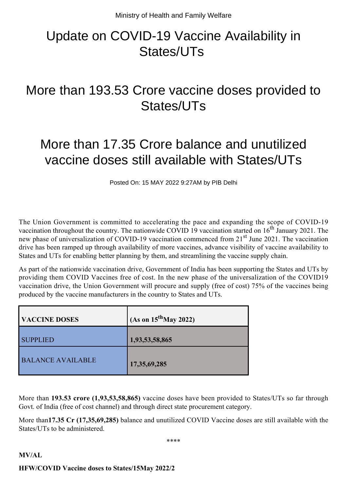## Update on COVID-19 Vaccine Availability in States/UTs

## More than 193.53 Crore vaccine doses provided to States/UTs

## More than 17.35 Crore balance and unutilized vaccine doses still available with States/UTs

Posted On: 15 MAY 2022 9:27AM by PIB Delhi

The Union Government is committed to accelerating the pace and expanding the scope of COVID-19 vaccination throughout the country. The nationwide COVID 19 vaccination started on  $16^{th}$  January 2021. The new phase of universalization of COVID-19 vaccination commenced from 21<sup>st</sup> June 2021. The vaccination drive has been ramped up through availability of more vaccines, advance visibility of vaccine availability to States and UTs for enabling better planning by them, and streamlining the vaccine supply chain.

As part of the nationwide vaccination drive, Government of India has been supporting the States and UTs by providing them COVID Vaccines free of cost. In the new phase of the universalization of the COVID19 vaccination drive, the Union Government will procure and supply (free of cost) 75% of the vaccines being produced by the vaccine manufacturers in the country to States and UTs.

| <b>VACCINE DOSES</b>     | (As on $15^{th}$ May 2022) |
|--------------------------|----------------------------|
| <b>SUPPLIED</b>          | 1,93,53,58,865             |
| <b>BALANCE AVAILABLE</b> | 17, 35, 69, 285            |

More than **193.53 crore (1,93,53,58,865)** vaccine doses have been provided to States/UTs so far through Govt. of India (free of cost channel) and through direct state procurement category.

More than**17.35 Cr (17,35,69,285)** balance and unutilized COVID Vaccine doses are still available with the States/UTs to be administered.

\*\*\*\*

**MV/AL**

**HFW/COVID Vaccine doses to States/15May 2022/2**